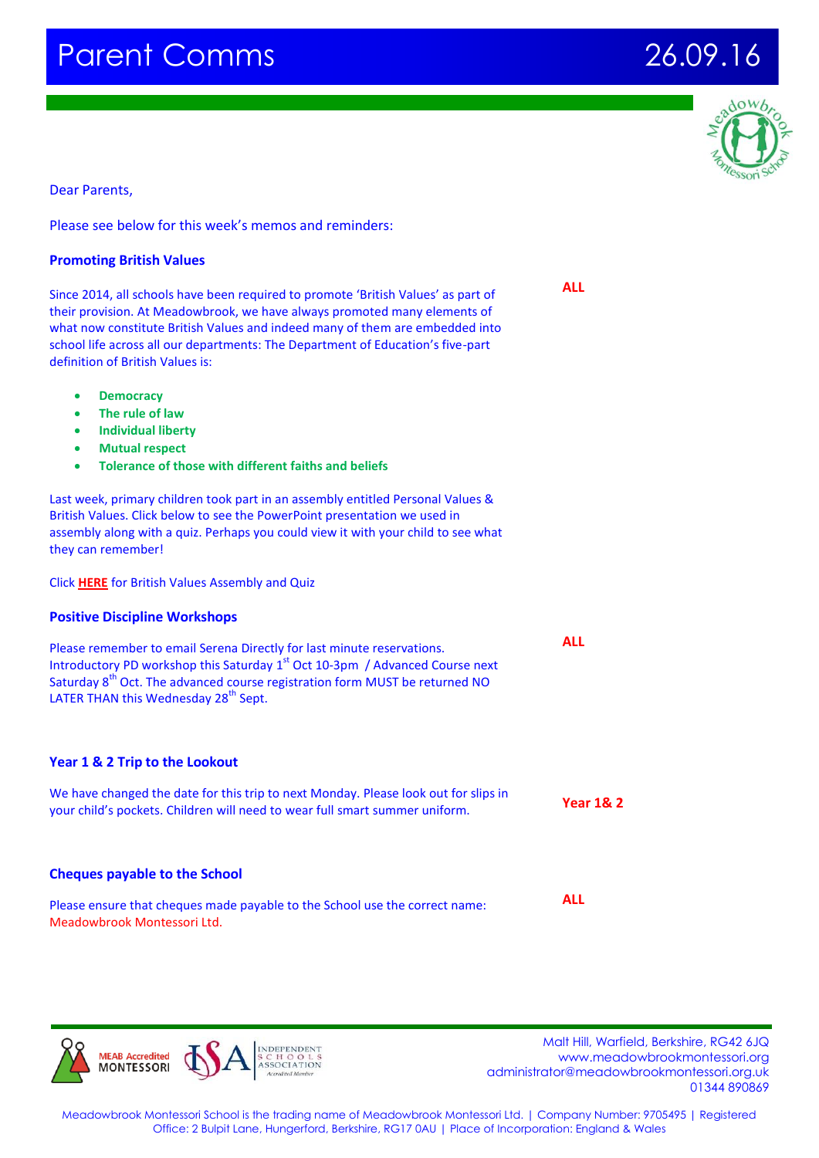# Parent Comms 26.09.16



Dear Parents,

### Please see below for this week's memos and reminders:

| <b>Promoting British Values</b> |  |  |
|---------------------------------|--|--|
|                                 |  |  |

Since 2014, all schools have been required to promote 'British Values' as part of their provision. At Meadowbrook, we have always promoted many elements of what now constitute British Values and indeed many of them are embedded into school life across all our departments: The Department of Education's five-part definition of British Values is:

- **Democracy**
- **The rule of law**
- **Individual liberty**
- **Mutual respect**
- **Tolerance of those with different faiths and beliefs**

Last week, primary children took part in an assembly entitled Personal Values & British Values. Click below to see the PowerPoint presentation we used in assembly along with a quiz. Perhaps you could view it with your child to see what they can remember!

Click **[HERE](http://www.meadowbrookmontessori.org/kids-zone/fun-websites-and-handy-homework-links/Promoting-British-Values/)** for British Values Assembly and Quiz

### **Positive Discipline Workshops**

Please remember to email Serena Directly for last minute reservations. Introductory PD workshop this Saturday 1<sup>st</sup> Oct 10-3pm / Advanced Course next Saturday 8<sup>th</sup> Oct. The advanced course registration form MUST be returned NO LATER THAN this Wednesday 28<sup>th</sup> Sept.

# **Year 1 & 2 Trip to the Lookout**

We have changed the date for this trip to next Monday. Please look out for slips in your child's pockets. Children will need to wear full smart summer uniform. **Year 1& 2**

### **Cheques payable to the School**

| Please ensure that cheques made payable to the School use the correct name: | ALL. |
|-----------------------------------------------------------------------------|------|
| Meadowbrook Montessori Ltd.                                                 |      |

**MFAR Accredited MONTESSORI** 

 Malt Hill, Warfield, Berkshire, RG42 6JQ www.meadowbrookmontessori.org [administrator@meadowbrookmontessori.org.uk](mailto:administrator@meadowbrookmontessori.org.uk) 01344 890869

Meadowbrook Montessori School is the trading name of Meadowbrook Montessori Ltd. | Company Number: 9705495 | Registered Office: 2 Bulpit Lane, Hungerford, Berkshire, RG17 0AU | Place of Incorporation: England & Wales

**ALL**

**ALL**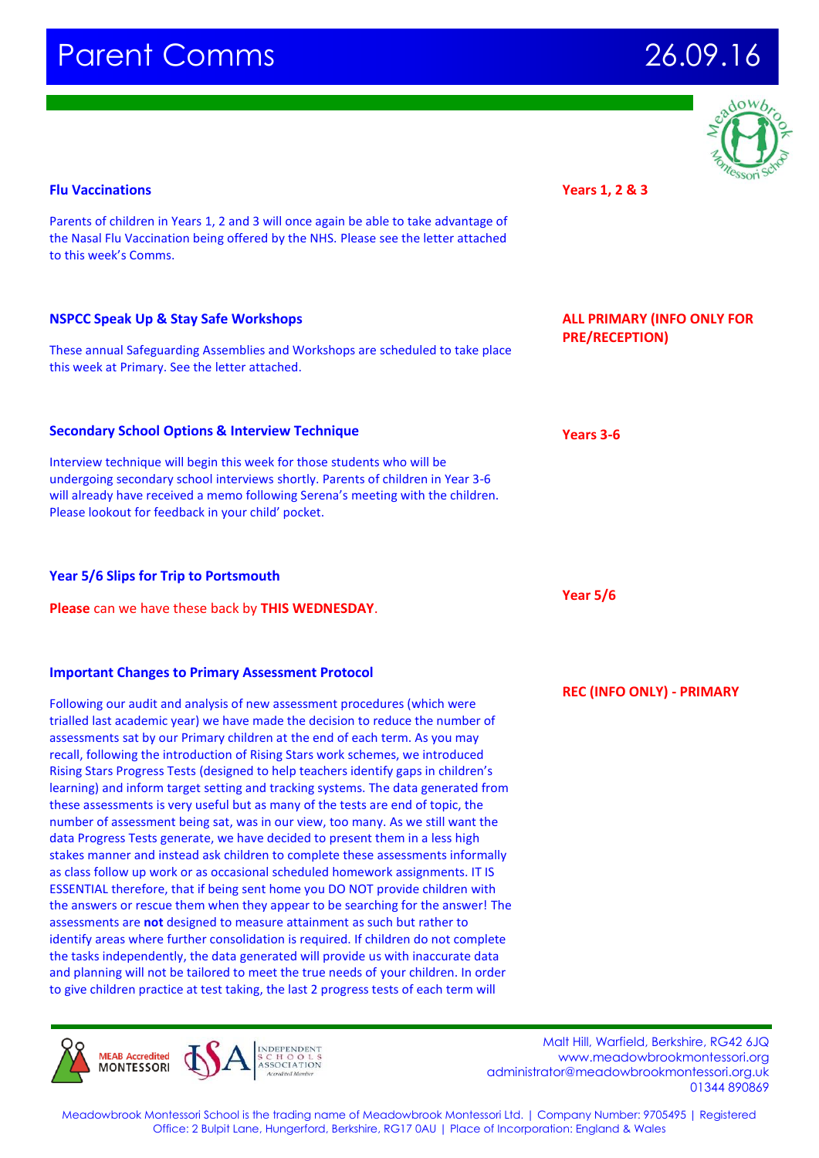

#### **Flu Vaccinations**

Parents of children in Years 1, 2 and 3 will once again be able to take advantage of the Nasal Flu Vaccination being offered by the NHS. Please see the letter attached to this week's Comms.

## **NSPCC Speak Up & Stay Safe Workshops**

These annual Safeguarding Assemblies and Workshops are scheduled to take place this week at Primary. See the letter attached.

## **Secondary School Options & Interview Technique**

Interview technique will begin this week for those students who will be undergoing secondary school interviews shortly. Parents of children in Year 3-6 will already have received a memo following Serena's meeting with the children. Please lookout for feedback in your child' pocket.

### **Year 5/6 Slips for Trip to Portsmouth**

**Please** can we have these back by **THIS WEDNESDAY**.

#### **Important Changes to Primary Assessment Protocol**

Following our audit and analysis of new assessment procedures (which were trialled last academic year) we have made the decision to reduce the number of assessments sat by our Primary children at the end of each term. As you may recall, following the introduction of Rising Stars work schemes, we introduced Rising Stars Progress Tests (designed to help teachers identify gaps in children's learning) and inform target setting and tracking systems. The data generated from these assessments is very useful but as many of the tests are end of topic, the number of assessment being sat, was in our view, too many. As we still want the data Progress Tests generate, we have decided to present them in a less high stakes manner and instead ask children to complete these assessments informally as class follow up work or as occasional scheduled homework assignments. IT IS ESSENTIAL therefore, that if being sent home you DO NOT provide children with the answers or rescue them when they appear to be searching for the answer! The assessments are **not** designed to measure attainment as such but rather to identify areas where further consolidation is required. If children do not complete the tasks independently, the data generated will provide us with inaccurate data and planning will not be tailored to meet the true needs of your children. In order to give children practice at test taking, the last 2 progress tests of each term will



 Malt Hill, Warfield, Berkshire, RG42 6JQ www.meadowbrookmontessori.org [administrator@meadowbrookmontessori.org.uk](mailto:administrator@meadowbrookmontessori.org.uk) 01344 890869

**Years 1, 2 & 3** 

**ALL PRIMARY (INFO ONLY FOR PRE/RECEPTION)**

**Years 3-6**

**Year 5/6**

**REC (INFO ONLY) - PRIMARY**

Meadowbrook Montessori School is the trading name of Meadowbrook Montessori Ltd. | Company Number: 9705495 | Registered Office: 2 Bulpit Lane, Hungerford, Berkshire, RG17 0AU | Place of Incorporation: England & Wales